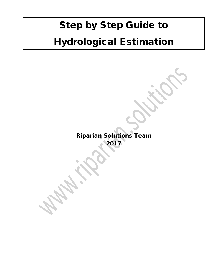# Step by Step Guide to Hydrological Estimation

Riparian Solutions Team 2017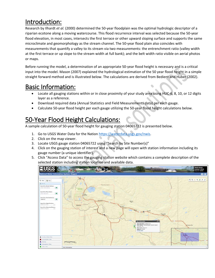## Introduction:

Research by Ilhardt *et al.* (2000) determined the 50-year floodplain was the optimal hydrologic descriptor of a riparian ecotone along a moving watercourse. This flood recurrence interval was selected because the 50-year flood elevation, in most cases, intersects the first terrace or other upward sloping surface and supports the same microclimate and geomorphology as the stream channel. The 50-year flood plain also coincides with measurements that quantify a valley to its stream via two measurements: the entrenchment ratio (valley width at the first terrace or up slope to the stream width at full bank); and the belt width ratio visible on aerial photos or maps.

Before running the model, a determination of an appropriate 50-year flood height is necessary and is a critical input into the model. Mason (2007) explained the hydrological estimation of the 50 year flood height in a simple straight forward method and is illustrated below. The calculations are derived from Bedient and Huber (2002).

### Basic Information:

- Locate all gauging stations within or in close proximity of your study area using HUC-6, 8, 10, or 12 digits layer as a reference.
- Download required data (Annual Statistics and Field Measurements data) per each gauge.
- Calculate 50-year flood height per each gauge utilizing the 50-year flood height calculations below.

# 50-Year Flood Height Calculations:

A sample calculation of 50-year flood height for gauging station 04065722 is presented below.

- 1. Go to USGS Water Data for the Natio[n https://waterdata.usgs.gov/nwis.](https://waterdata.usgs.gov/nwis)
- 2. Click on the map viewer.
- 3. Locate USGS gauge station 04065722 using "Search by Site Number(s)"
- 4. Click on the gauging station of interest and a new page will open with station information including its gauge number (a unique identifier).
- 5. Click "Access Data" to access the gauging station website which contains a complete description of the selected station including station location and available data.

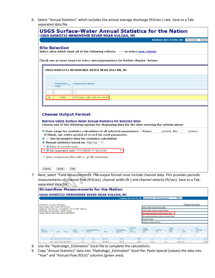6. Select "Annual Statistics" which includes the annual average discharge (ft3/sec.) rate. Save to a Tabseparated data file.

| <b>USGS Surface-Water Annual Statistics for the Nation</b>                                                                                                                                                                             |
|----------------------------------------------------------------------------------------------------------------------------------------------------------------------------------------------------------------------------------------|
| USGS 04065722 MENOMINEE RIVER NEAR VULCAN, MI<br>Available data for this site Time-series: Annual                                                                                                                                      |
| <b>Site Selection</b><br>Select sites which meet all of the following criteria: ---- or select new criteria                                                                                                                            |
| Check one or more boxes to select sites/parameters for further display--below:                                                                                                                                                         |
| USGS 04065722 MENOMINEE RIVER NEAR VULCAN, MI                                                                                                                                                                                          |
| Parameter <sub>o</sub><br><b>Parameter Name</b><br>Code                                                                                                                                                                                |
| 00060<br>Discharge, cubic feet per second<br>$\sqrt{2}$                                                                                                                                                                                |
| <b>Choose Output Format</b>                                                                                                                                                                                                            |
| <b>Retrieve USGS Surface-Water Annual Statistics for Selected Sites</b><br>Choose one of the following options for displaying data for the sites meeting the criteria above                                                            |
| <sup>2</sup> Date range for statistics calculation of all selected parameters -- From:<br>(YYYY) To:<br>(YYYY)<br>If blank, use entire period of record for each parameter.<br><b>O</b> Use incomplete data for statistics calculation |
| <b>2 Annual statistics based on Water Year</b><br><b>C</b> a Table of annual mean<br>● 7 Tab-separated data YYYY-MM-DD ▼ Save to file<br>۷.                                                                                            |
| * Save compressed files with a .gz file extension.                                                                                                                                                                                     |
| Submit<br>Reset<br>Help                                                                                                                                                                                                                |

7. Next, select "Field Measurements. The output format must include channel data. This provides periodic measurements of channel flow (ft3/sec), channel width (ft.) and channel velocity (ft/sec). Save to a Tabseparated data file.

|                                                                                   |    |      |                         |               |     | <b>Streamflow Measurements for the Nation</b> |         |                                      |                              |      |                                                                |      |               |     |                                    |              |            |    |                                    |          |
|-----------------------------------------------------------------------------------|----|------|-------------------------|---------------|-----|-----------------------------------------------|---------|--------------------------------------|------------------------------|------|----------------------------------------------------------------|------|---------------|-----|------------------------------------|--------------|------------|----|------------------------------------|----------|
|                                                                                   |    |      |                         |               |     | USGS 04065722 MENOMINEE RIVER NEAR VULCAN, MI |         |                                      |                              |      |                                                                |      |               |     |                                    |              |            |    |                                    |          |
|                                                                                   |    |      |                         |               |     |                                               |         |                                      |                              |      | Available data for this site Surface-water. Field measurements |      |               |     |                                    | $\bullet$ GO |            |    |                                    |          |
| Dickinson County, Michigan                                                        |    |      |                         |               |     |                                               |         |                                      |                              |      |                                                                |      |               |     |                                    |              |            |    | <b>Output formats</b>              |          |
| Hydrologic Unit Code 04030108                                                     |    |      |                         |               |     |                                               |         |                                      |                              |      | HTML table with channel data                                   |      |               |     |                                    |              |            |    |                                    |          |
| Latitude 45°44'12", Longitude 87°51'48" NAD27<br>Drainage area 2,900 square miles |    |      |                         |               |     |                                               |         |                                      |                              |      | HTML table without channel data                                |      |               |     |                                    |              |            |    |                                    |          |
| Gage datum 820 feet above NGVD29                                                  |    |      |                         |               |     |                                               |         | Tab-separated data with channel data |                              |      |                                                                |      |               |     |                                    |              |            |    |                                    |          |
|                                                                                   |    |      |                         |               |     |                                               |         |                                      |                              |      | Tab-separated data without channel data                        |      |               |     |                                    |              |            |    |                                    |          |
|                                                                                   |    |      |                         |               |     |                                               |         |                                      |                              |      | Graph of data                                                  |      |               |     |                                    |              |            |    |                                    |          |
|                                                                                   |    |      |                         |               |     |                                               |         |                                      |                              |      | Reselect output format                                         |      |               |     |                                    |              |            |    |                                    |          |
| Meas.<br>Number                                                                   | ö. | Date | Time 0                  | Time<br>Datum |     | Measurement<br>Used?                          | Who     | Measuring $\lambda$<br>Agency        | Stream<br>flow<br>$(ft^3/s)$ |      | Gage<br>Height<br>(f(t))                                       | ic.  | Rating<br>No. | ä   | Shift<br>Adj.<br>(f <sub>t</sub> ) | ۰            | %<br>Diff. | é. | GH.<br>Change<br>(f <sup>t</sup> ) | $\alpha$ |
|                                                                                   |    |      |                         |               |     |                                               |         |                                      |                              |      |                                                                |      |               |     |                                    |              |            |    |                                    |          |
|                                                                                   |    |      | 158 2017-03-17 08:38:50 |               | CST | Yes                                           | DJC/db  | USGS                                 |                              | 3590 |                                                                | 7.23 |               | 5.1 |                                    | $0.10$ 7.5   |            |    |                                    | $-0.03$  |
|                                                                                   |    |      | 157 2017-01-20 09:48:47 |               | CST | Yes                                           | DJC/dab | <b>USGS</b>                          |                              | 2250 |                                                                | 6.23 |               | 5.1 |                                    | 0.10.0.4     |            |    |                                    | 0.00     |

- 8. Use the "Hydrologic\_Estimation" Excel file to complete the calculations.
- 9. Copy "Annual Statistics" data into "Hydrologic\_Estimation" Excel file. Paste Special (values) the data into "Year" and "Annual Flow (ft3/s)" columns (green area).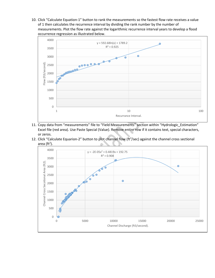10. Click "Calculate Equation-1" button to rank the measurements so the fastest flow rate receives a value of 1 then calculates the recurrence interval by dividing the rank number by the number of measurements. Plot the flow rate against the logarithmic recurrence interval years to develop a flood occurrence regression as illustrated below.



- 11. Copy data from "measurements" file to "Field Measurements" section within "Hydrologic\_Estimation" Excel file (red area). Use Paste Special (Value). Remove entire row if it contains text, special characters, or zeros.
- 12. Click "Calculate Equarion-2" button to plot channel flow (ft<sup>3</sup>/sec) against the channel cross sectional area (ft<sup>2</sup>).

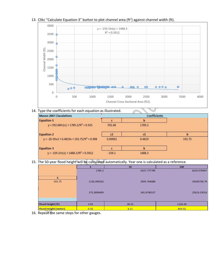

#### 13. Clikc "Calculate Equation-3" button to plot channel area ( $ft<sup>2</sup>$ ) against channel width (ft).

14. Type the coefficients for each equation as illustrated.

|          | <b>Coefficients</b> |        |
|----------|---------------------|--------|
|          | n                   |        |
| 592.68   | 1789.2              |        |
| c2       | c1                  | b      |
| 0.00002  | 0.4819              | 192.75 |
|          |                     |        |
| $-159.1$ | 1488.3              |        |
|          |                     |        |

15. The 50-year flood height will be calculated automatically. Year one is calculated as a reference.

|                             |             | 50          | 100         |
|-----------------------------|-------------|-------------|-------------|
|                             | 1789.2      | 4107.777795 | 8239.570497 |
| b                           |             |             |             |
| 192.75                      | 1118.990213 | 2509.764888 | 34305738.74 |
|                             |             |             |             |
|                             | 371.3890499 | 242.8740527 | 25823.23018 |
|                             |             |             |             |
|                             |             |             |             |
| <b>Flood Height (ft)</b>    | 3.01        | 10.33       | 1328.48     |
| <b>Flood Height (meter)</b> | 0.92        | 3.15        | 404.92      |

16. Repeat the same steps for other gauges.